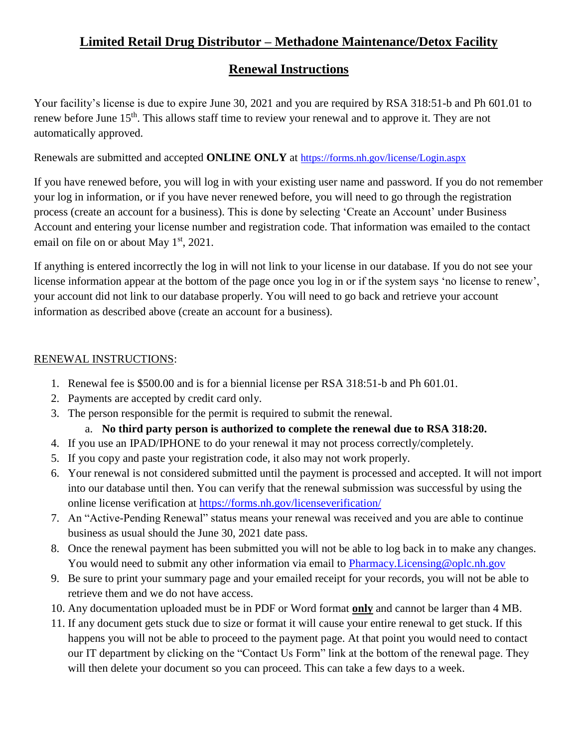# **Limited Retail Drug Distributor – Methadone Maintenance/Detox Facility**

# **Renewal Instructions**

Your facility's license is due to expire June 30, 2021 and you are required by RSA 318:51-b and Ph 601.01 to renew before June 15<sup>th</sup>. This allows staff time to review your renewal and to approve it. They are not automatically approved.

Renewals are submitted and accepted **ONLINE ONLY** at <https://forms.nh.gov/license/Login.aspx>

If you have renewed before, you will log in with your existing user name and password. If you do not remember your log in information, or if you have never renewed before, you will need to go through the registration process (create an account for a business). This is done by selecting 'Create an Account' under Business Account and entering your license number and registration code. That information was emailed to the contact email on file on or about May  $1<sup>st</sup>$ , 2021.

If anything is entered incorrectly the log in will not link to your license in our database. If you do not see your license information appear at the bottom of the page once you log in or if the system says 'no license to renew', your account did not link to our database properly. You will need to go back and retrieve your account information as described above (create an account for a business).

## RENEWAL INSTRUCTIONS:

- 1. Renewal fee is \$500.00 and is for a biennial license per RSA 318:51-b and Ph 601.01.
- 2. Payments are accepted by credit card only.
- 3. The person responsible for the permit is required to submit the renewal.

## a. **No third party person is authorized to complete the renewal due to RSA 318:20.**

- 4. If you use an IPAD/IPHONE to do your renewal it may not process correctly/completely.
- 5. If you copy and paste your registration code, it also may not work properly.
- 6. Your renewal is not considered submitted until the payment is processed and accepted. It will not import into our database until then. You can verify that the renewal submission was successful by using the online license verification at<https://forms.nh.gov/licenseverification/>
- 7. An "Active-Pending Renewal" status means your renewal was received and you are able to continue business as usual should the June 30, 2021 date pass.
- 8. Once the renewal payment has been submitted you will not be able to log back in to make any changes. You would need to submit any other information via email to Pharmacy. Licensing @oplc.nh.gov
- 9. Be sure to print your summary page and your emailed receipt for your records, you will not be able to retrieve them and we do not have access.
- 10. Any documentation uploaded must be in PDF or Word format **only** and cannot be larger than 4 MB.
- 11. If any document gets stuck due to size or format it will cause your entire renewal to get stuck. If this happens you will not be able to proceed to the payment page. At that point you would need to contact our IT department by clicking on the "Contact Us Form" link at the bottom of the renewal page. They will then delete your document so you can proceed. This can take a few days to a week.